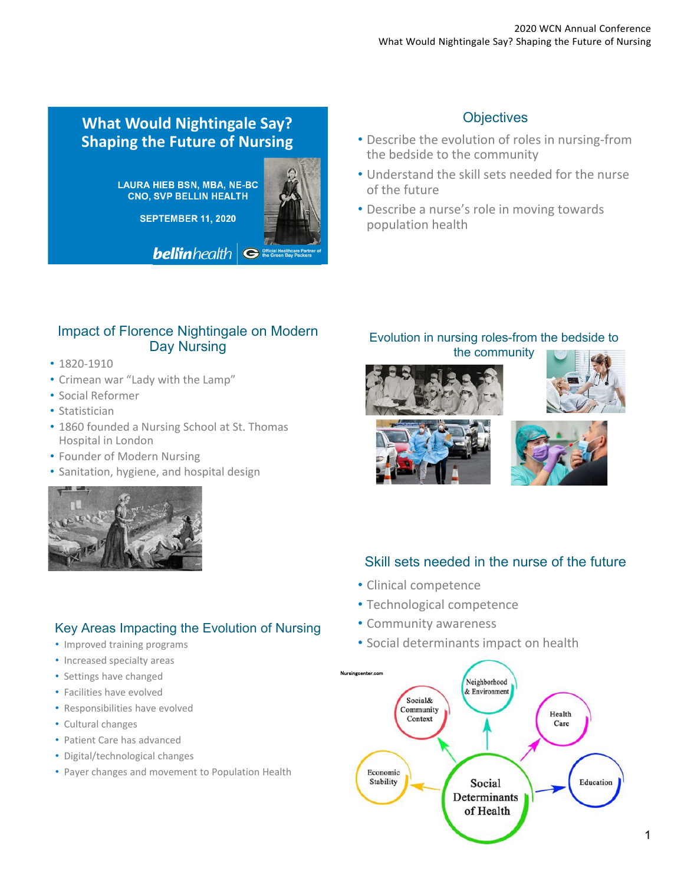# **What Would Nightingale Say? Shaping the Future of Nursing**

**LAURA HIEB BSN, MBA, NE-BC CNO, SVP BELLIN HEALTH**

**SEPTEMBER 11, 2020**



**belin** health  $\left| \bigodot \stackrel{\text{Official Heat Hence}}{\text{the Green Bay Pa}}}$ 

# **Objectives**

- Describe the evolution of roles in nursing‐from the bedside to the community
- Understand the skill sets needed for the nurse of the future
- Describe a nurse's role in moving towards population health

#### Impact of Florence Nightingale on Modern Day Nursing

- 1820‐1910
- Crimean war "Lady with the Lamp"
- Social Reformer
- Statistician
- 1860 founded a Nursing School at St. Thomas Hospital in London
- Founder of Modern Nursing
- Sanitation, hygiene, and hospital design



## Key Areas Impacting the Evolution of Nursing

- Improved training programs
- Increased specialty areas
- Settings have changed
- Facilities have evolved
- Responsibilities have evolved
- Cultural changes
- Patient Care has advanced
- Digital/technological changes
- Payer changes and movement to Population Health

# Evolution in nursing roles-from the bedside to

the community









## Skill sets needed in the nurse of the future

- Clinical competence
- Technological competence
- Community awareness
- Social determinants impact on health

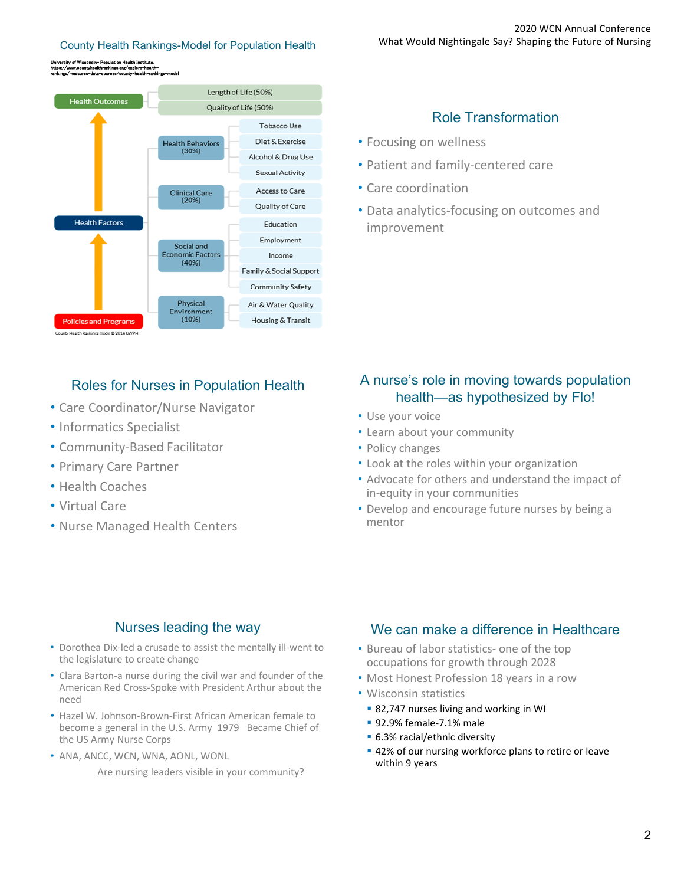#### University of Wisconsin- Population Health Institute. https://www.countyhealthrankings.org/explore-healthrankings/measures-data-sources/county-health-rankings-model



## Roles for Nurses in Population Health

- Care Coordinator/Nurse Navigator
- Informatics Specialist
- Community‐Based Facilitator
- Primary Care Partner
- Health Coaches
- Virtual Care
- Nurse Managed Health Centers

#### Role Transformation

- Focusing on wellness
- Patient and family‐centered care
- Care coordination
- Data analytics‐focusing on outcomes and improvement

#### A nurse's role in moving towards population health—as hypothesized by Flo!

- Use your voice
- Learn about your community
- Policy changes
- Look at the roles within your organization
- Advocate for others and understand the impact of in‐equity in your communities
- Develop and encourage future nurses by being a mentor

#### Nurses leading the way

- Dorothea Dix‐led a crusade to assist the mentally ill‐went to the legislature to create change
- Clara Barton‐a nurse during the civil war and founder of the American Red Cross‐Spoke with President Arthur about the need
- Hazel W. Johnson‐Brown‐First African American female to become a general in the U.S. Army 1979 Became Chief of the US Army Nurse Corps
- ANA, ANCC, WCN, WNA, AONL, WONL

Are nursing leaders visible in your community?

#### We can make a difference in Healthcare

- Bureau of labor statistics- one of the top occupations for growth through 2028
- Most Honest Profession 18 years in a row
- Wisconsin statistics
	- 82,747 nurses living and working in WI
	- 92.9% female-7.1% male
	- 6.3% racial/ethnic diversity
	- 42% of our nursing workforce plans to retire or leave within 9 years